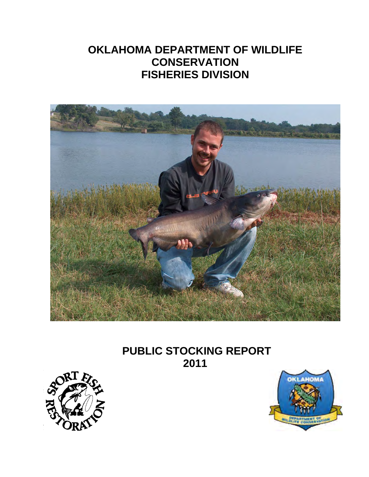# **OKLAHOMA DEPARTMENT OF WILDLIFE CONSERVATION FISHERIES DIVISION**



# **PUBLIC STOCKING REPORT 2011**



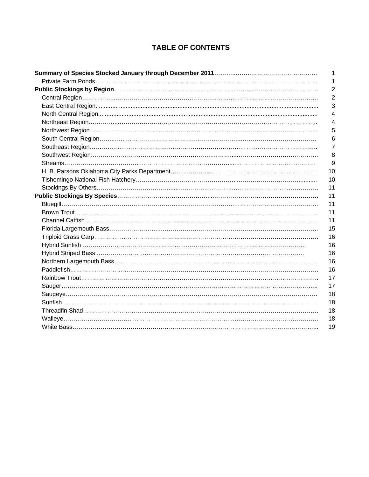## **TABLE OF CONTENTS**

| 1<br>$\overline{2}$ |
|---------------------|
|                     |
|                     |
| $\overline{2}$      |
| 3                   |
| 4                   |
| 4                   |
| 5                   |
| 6                   |
| 7                   |
| 8                   |
| 9                   |
| 10                  |
| 10                  |
| 11                  |
| 11                  |
| 11                  |
| 11                  |
| 11                  |
| 15                  |
| 16                  |
| 16                  |
| 16                  |
| 16                  |
| 16                  |
| 17                  |
| 17                  |
| 18                  |
| 18                  |
| 18                  |
| 18                  |
| 19                  |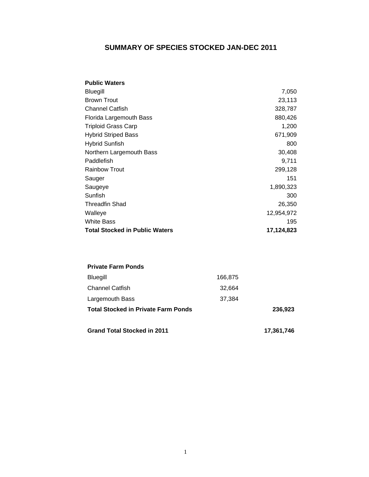## **SUMMARY OF SPECIES STOCKED JAN-DEC 2011**

| <b>Public Waters</b>                  |            |
|---------------------------------------|------------|
| Bluegill                              | 7,050      |
| <b>Brown Trout</b>                    | 23,113     |
| <b>Channel Catfish</b>                | 328,787    |
| Florida Largemouth Bass               | 880,426    |
| <b>Triploid Grass Carp</b>            | 1,200      |
| <b>Hybrid Striped Bass</b>            | 671,909    |
| <b>Hybrid Sunfish</b>                 | 800        |
| Northern Largemouth Bass              | 30,408     |
| Paddlefish                            | 9,711      |
| <b>Rainbow Trout</b>                  | 299,128    |
| Sauger                                | 151        |
| Saugeye                               | 1,890,323  |
| Sunfish                               | 300        |
| <b>Threadfin Shad</b>                 | 26,350     |
| Walleye                               | 12,954,972 |
| <b>White Bass</b>                     | 195        |
| <b>Total Stocked in Public Waters</b> | 17,124,823 |

| <b>Private Farm Ponds</b>                  |         |            |
|--------------------------------------------|---------|------------|
| <b>Bluegill</b>                            | 166,875 |            |
| <b>Channel Catfish</b>                     | 32,664  |            |
| Largemouth Bass                            | 37.384  |            |
| <b>Total Stocked in Private Farm Ponds</b> |         | 236,923    |
| <b>Grand Total Stocked in 2011</b>         |         | 17.361,746 |

1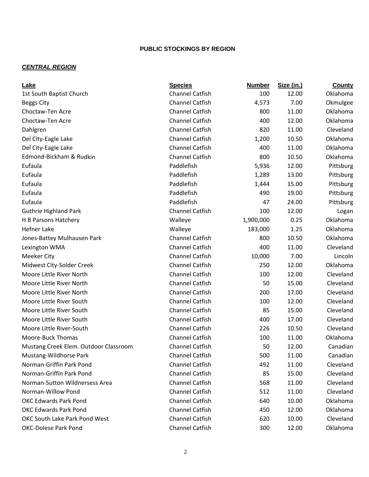## **PUBLIC STOCKINGS BY REGION**

## *CENTRAL REGION*

| Lake                                  | <b>Species</b>         | <b>Number</b> | Size (in.) | County    |
|---------------------------------------|------------------------|---------------|------------|-----------|
| 1st South Baptist Church              | <b>Channel Catfish</b> | 100           | 12.00      | Oklahoma  |
| <b>Beggs City</b>                     | <b>Channel Catfish</b> | 4,573         | 7.00       | Okmulgee  |
| Choctaw-Ten Acre                      | <b>Channel Catfish</b> | 800           | 11.00      | Oklahoma  |
| Choctaw-Ten Acre                      | <b>Channel Catfish</b> | 400           | 12.00      | Oklahoma  |
| Dahlgren                              | <b>Channel Catfish</b> | 820           | 11.00      | Cleveland |
| Del City-Eagle Lake                   | <b>Channel Catfish</b> | 1,200         | 10.50      | Oklahoma  |
| Del City-Eagle Lake                   | <b>Channel Catfish</b> | 400           | 11.00      | Oklahoma  |
| Edmond-Bickham & Rudkin               | <b>Channel Catfish</b> | 800           | 10.50      | Oklahoma  |
| Eufaula                               | Paddlefish             | 5,936         | 12.00      | Pittsburg |
| Eufaula                               | Paddlefish             | 1,289         | 13.00      | Pittsburg |
| Eufaula                               | Paddlefish             | 1,444         | 15.00      | Pittsburg |
| Eufaula                               | Paddlefish             | 490           | 19.00      | Pittsburg |
| Eufaula                               | Paddlefish             | 47            | 24.00      | Pittsburg |
| <b>Guthrie Highland Park</b>          | <b>Channel Catfish</b> | 100           | 12.00      | Logan     |
| H B Parsons Hatchery                  | Walleye                | 1,900,000     | 0.25       | Oklahoma  |
| <b>Hefner Lake</b>                    | Walleye                | 183,000       | 1.25       | Oklahoma  |
| Jones-Battey Mulhausen Park           | <b>Channel Catfish</b> | 800           | 10.50      | Oklahoma  |
| Lexington WMA                         | <b>Channel Catfish</b> | 400           | 11.00      | Cleveland |
| <b>Meeker City</b>                    | <b>Channel Catfish</b> | 10,000        | 7.00       | Lincoln   |
| Midwest City-Solder Creek             | <b>Channel Catfish</b> | 250           | 12.00      | Oklahoma  |
| Moore Little River North              | <b>Channel Catfish</b> | 100           | 12.00      | Cleveland |
| Moore Little River North              | <b>Channel Catfish</b> | 50            | 15.00      | Cleveland |
| Moore Little River North              | <b>Channel Catfish</b> | 200           | 17.00      | Cleveland |
| Moore Little River South              | <b>Channel Catfish</b> | 100           | 12.00      | Cleveland |
| Moore Little River South              | <b>Channel Catfish</b> | 85            | 15.00      | Cleveland |
| Moore Little River South              | <b>Channel Catfish</b> | 400           | 17.00      | Cleveland |
| Moore Little River-South              | <b>Channel Catfish</b> | 226           | 10.50      | Cleveland |
| Moore-Buck Thomas                     | <b>Channel Catfish</b> | 100           | 11.00      | Oklahoma  |
| Mustang Creek Elem. Outdoor Classroom | <b>Channel Catfish</b> | 50            | 12.00      | Canadian  |
| Mustang-Wildhorse Park                | Channel Catfish        | 500           | 11.00      | Canadian  |
| Norman-Griffin Park Pond              | <b>Channel Catfish</b> | 492           | 11.00      | Cleveland |
| Norman-Griffin Park Pond              | <b>Channel Catfish</b> | 85            | 15.00      | Cleveland |
| Norman-Sutton Wildnersess Area        | <b>Channel Catfish</b> | 568           | 11.00      | Cleveland |
| Norman-Willow Pond                    | <b>Channel Catfish</b> | 512           | 11.00      | Cleveland |
| <b>OKC Edwards Park Pond</b>          | <b>Channel Catfish</b> | 640           | 10.00      | Oklahoma  |
| <b>OKC Edwards Park Pond</b>          | <b>Channel Catfish</b> | 450           | 12.00      | Oklahoma  |
| OKC South Lake Park Pond West         | <b>Channel Catfish</b> | 620           | 10.00      | Cleveland |
| <b>OKC-Dolese Park Pond</b>           | Channel Catfish        | 300           | 12.00      | Oklahoma  |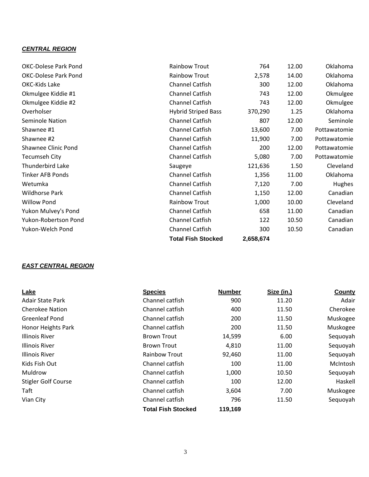## *CENTRAL REGION*

|                             | <b>Total Fish Stocked</b>  | 2,658,674 |       |              |
|-----------------------------|----------------------------|-----------|-------|--------------|
| Yukon-Welch Pond            | Channel Catfish            | 300       | 10.50 | Canadian     |
| Yukon-Robertson Pond        | <b>Channel Catfish</b>     | 122       | 10.50 | Canadian     |
| Yukon Mulvey's Pond         | <b>Channel Catfish</b>     | 658       | 11.00 | Canadian     |
| <b>Willow Pond</b>          | <b>Rainbow Trout</b>       | 1,000     | 10.00 | Cleveland    |
| <b>Wildhorse Park</b>       | <b>Channel Catfish</b>     | 1,150     | 12.00 | Canadian     |
| Wetumka                     | <b>Channel Catfish</b>     | 7,120     | 7.00  | Hughes       |
| <b>Tinker AFB Ponds</b>     | <b>Channel Catfish</b>     | 1,356     | 11.00 | Oklahoma     |
| Thunderbird Lake            | Saugeye                    | 121,636   | 1.50  | Cleveland    |
| <b>Tecumseh City</b>        | <b>Channel Catfish</b>     | 5,080     | 7.00  | Pottawatomie |
| Shawnee Clinic Pond         | <b>Channel Catfish</b>     | 200       | 12.00 | Pottawatomie |
| Shawnee #2                  | <b>Channel Catfish</b>     | 11,900    | 7.00  | Pottawatomie |
| Shawnee #1                  | <b>Channel Catfish</b>     | 13,600    | 7.00  | Pottawatomie |
| Seminole Nation             | <b>Channel Catfish</b>     | 807       | 12.00 | Seminole     |
| Overholser                  | <b>Hybrid Striped Bass</b> | 370,290   | 1.25  | Oklahoma     |
| Okmulgee Kiddie #2          | <b>Channel Catfish</b>     | 743       | 12.00 | Okmulgee     |
| Okmulgee Kiddie #1          | <b>Channel Catfish</b>     | 743       | 12.00 | Okmulgee     |
| OKC-Kids Lake               | <b>Channel Catfish</b>     | 300       | 12.00 | Oklahoma     |
| <b>OKC-Dolese Park Pond</b> | <b>Rainbow Trout</b>       | 2,578     | 14.00 | Oklahoma     |
| <b>OKC-Dolese Park Pond</b> | <b>Rainbow Trout</b>       | 764       | 12.00 | Oklahoma     |
|                             |                            |           |       |              |

## *EAST CENTRAL REGION*

| Lake                       | <b>Species</b>            | <b>Number</b> | Size (in.) | County   |
|----------------------------|---------------------------|---------------|------------|----------|
| <b>Adair State Park</b>    | Channel catfish           | 900           | 11.20      | Adair    |
| <b>Cherokee Nation</b>     | Channel catfish           | 400           | 11.50      | Cherokee |
| <b>Greenleaf Pond</b>      | Channel catfish           | 200           | 11.50      | Muskogee |
| Honor Heights Park         | Channel catfish           | 200           | 11.50      | Muskogee |
| <b>Illinois River</b>      | <b>Brown Trout</b>        | 14,599        | 6.00       | Sequoyah |
| <b>Illinois River</b>      | <b>Brown Trout</b>        | 4,810         | 11.00      | Sequoyah |
| <b>Illinois River</b>      | <b>Rainbow Trout</b>      | 92,460        | 11.00      | Sequoyah |
| Kids Fish Out              | Channel catfish           | 100           | 11.00      | McIntosh |
| Muldrow                    | Channel catfish           | 1,000         | 10.50      | Sequoyah |
| <b>Stigler Golf Course</b> | Channel catfish           | 100           | 12.00      | Haskell  |
| Taft                       | Channel catfish           | 3,604         | 7.00       | Muskogee |
| Vian City                  | Channel catfish           | 796           | 11.50      | Sequoyah |
|                            | <b>Total Fish Stocked</b> | 119,169       |            |          |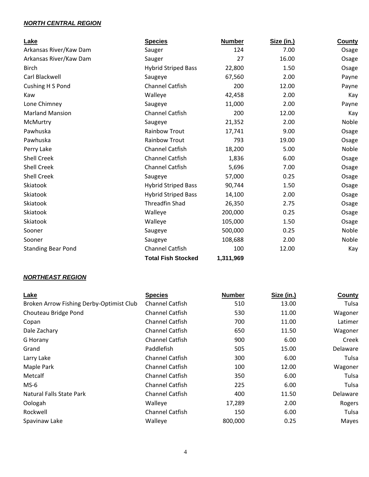### *NORTH CENTRAL REGION*

| Lake                      | <b>Species</b>             | <b>Number</b> | Size (in.) | <b>County</b> |
|---------------------------|----------------------------|---------------|------------|---------------|
| Arkansas River/Kaw Dam    | Sauger                     | 124           | 7.00       | Osage         |
| Arkansas River/Kaw Dam    | Sauger                     | 27            | 16.00      | Osage         |
| <b>Birch</b>              | <b>Hybrid Striped Bass</b> | 22,800        | 1.50       | Osage         |
| Carl Blackwell            | Saugeye                    | 67,560        | 2.00       | Payne         |
| Cushing H S Pond          | <b>Channel Catfish</b>     | 200           | 12.00      | Payne         |
| Kaw                       | Walleye                    | 42,458        | 2.00       | Kay           |
| Lone Chimney              | Saugeye                    | 11,000        | 2.00       | Payne         |
| <b>Marland Mansion</b>    | <b>Channel Catfish</b>     | 200           | 12.00      | Kay           |
| McMurtry                  | Saugeye                    | 21,352        | 2.00       | Noble         |
| Pawhuska                  | <b>Rainbow Trout</b>       | 17,741        | 9.00       | Osage         |
| Pawhuska                  | <b>Rainbow Trout</b>       | 793           | 19.00      | Osage         |
| Perry Lake                | <b>Channel Catfish</b>     | 18,200        | 5.00       | Noble         |
| <b>Shell Creek</b>        | <b>Channel Catfish</b>     | 1,836         | 6.00       | Osage         |
| <b>Shell Creek</b>        | <b>Channel Catfish</b>     | 5,696         | 7.00       | Osage         |
| <b>Shell Creek</b>        | Saugeye                    | 57,000        | 0.25       | Osage         |
| Skiatook                  | <b>Hybrid Striped Bass</b> | 90,744        | 1.50       | Osage         |
| Skiatook                  | <b>Hybrid Striped Bass</b> | 14,100        | 2.00       | Osage         |
| Skiatook                  | <b>Threadfin Shad</b>      | 26,350        | 2.75       | Osage         |
| Skiatook                  | Walleye                    | 200,000       | 0.25       | Osage         |
| Skiatook                  | Walleye                    | 105,000       | 1.50       | Osage         |
| Sooner                    | Saugeye                    | 500,000       | 0.25       | Noble         |
| Sooner                    | Saugeye                    | 108,688       | 2.00       | Noble         |
| <b>Standing Bear Pond</b> | <b>Channel Catfish</b>     | 100           | 12.00      | Kay           |
|                           | <b>Total Fish Stocked</b>  | 1,311,969     |            |               |

#### *NORTHEAST REGION*

| Lake                                     | <b>Species</b>         | <b>Number</b> | Size (in.) | County          |
|------------------------------------------|------------------------|---------------|------------|-----------------|
| Broken Arrow Fishing Derby-Optimist Club | <b>Channel Catfish</b> | 510           | 13.00      | Tulsa           |
| Chouteau Bridge Pond                     | <b>Channel Catfish</b> | 530           | 11.00      | Wagoner         |
| Copan                                    | <b>Channel Catfish</b> | 700           | 11.00      | Latimer         |
| Dale Zachary                             | <b>Channel Catfish</b> | 650           | 11.50      | Wagoner         |
| G Horany                                 | Channel Catfish        | 900           | 6.00       | Creek           |
| Grand                                    | Paddlefish             | 505           | 15.00      | <b>Delaware</b> |
| Larry Lake                               | <b>Channel Catfish</b> | 300           | 6.00       | Tulsa           |
| Maple Park                               | Channel Catfish        | 100           | 12.00      | Wagoner         |
| Metcalf                                  | <b>Channel Catfish</b> | 350           | 6.00       | Tulsa           |
| $MS-6$                                   | Channel Catfish        | 225           | 6.00       | Tulsa           |
| Natural Falls State Park                 | <b>Channel Catfish</b> | 400           | 11.50      | Delaware        |
| Oologah                                  | Walleye                | 17,289        | 2.00       | Rogers          |
| Rockwell                                 | <b>Channel Catfish</b> | 150           | 6.00       | Tulsa           |
| Spavinaw Lake                            | Walleye                | 800,000       | 0.25       | Mayes           |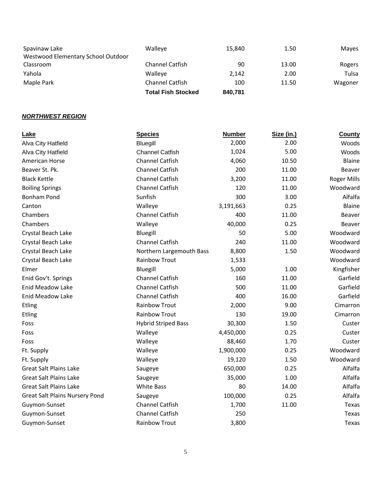|                                    | <b>Total Fish Stocked</b> | 840.781 |       |         |
|------------------------------------|---------------------------|---------|-------|---------|
| Maple Park                         | Channel Catfish           | 100     | 11.50 | Wagoner |
| Yahola                             | Walleve                   | 2.142   | 2.00  | Tulsa   |
| Classroom                          | Channel Catfish           | 90      | 13.00 | Rogers  |
| Westwood Elementary School Outdoor |                           |         |       |         |
| Spavinaw Lake                      | Walleye                   | 15.840  | 1.50  | Mayes   |

## *NORTHWEST REGION*

| Lake                                  | <b>Species</b>             | <b>Number</b> | Size (in.) | County             |
|---------------------------------------|----------------------------|---------------|------------|--------------------|
| Alva City Hatfield                    | Bluegill                   | 2,000         | 2.00       | Woods              |
| Alva City Hatfield                    | <b>Channel Catfish</b>     | 1,024         | 5.00       | Woods              |
| American Horse                        | Channel Catfish            | 4,060         | 10.50      | <b>Blaine</b>      |
| Beaver St. Pk.                        | <b>Channel Catfish</b>     | 200           | 11.00      | Beaver             |
| <b>Black Kettle</b>                   | <b>Channel Catfish</b>     | 3,200         | 11.00      | <b>Roger Mills</b> |
| <b>Boiling Springs</b>                | <b>Channel Catfish</b>     | 120           | 11.00      | Woodward           |
| <b>Bonham Pond</b>                    | Sunfish                    | 300           | 3.00       | Alfalfa            |
| Canton                                | Walleye                    | 3,191,663     | 0.25       | Blaine             |
| Chambers                              | <b>Channel Catfish</b>     | 400           | 11.00      | Beaver             |
| Chambers                              | Walleye                    | 40,000        | 0.25       | Beaver             |
| Crystal Beach Lake                    | Bluegill                   | 50            | 5.00       | Woodward           |
| Crystal Beach Lake                    | <b>Channel Catfish</b>     | 240           | 11.00      | Woodward           |
| Crystal Beach Lake                    | Northern Largemouth Bass   | 8,800         | 1.50       | Woodward           |
| Crystal Beach Lake                    | <b>Rainbow Trout</b>       | 1,533         |            | Woodward           |
| Elmer                                 | Bluegill                   | 5,000         | 1.00       | Kingfisher         |
| Enid Gov't. Springs                   | <b>Channel Catfish</b>     | 160           | 11.00      | Garfield           |
| <b>Enid Meadow Lake</b>               | <b>Channel Catfish</b>     | 500           | 11.00      | Garfield           |
| <b>Enid Meadow Lake</b>               | <b>Channel Catfish</b>     | 400           | 16.00      | Garfield           |
| Etling                                | <b>Rainbow Trout</b>       | 2,000         | 9.00       | Cimarron           |
| Etling                                | <b>Rainbow Trout</b>       | 130           | 19.00      | Cimarron           |
| Foss                                  | <b>Hybrid Striped Bass</b> | 30,300        | 1.50       | Custer             |
| Foss                                  | Walleye                    | 4,450,000     | 0.25       | Custer             |
| Foss                                  | Walleye                    | 88,460        | 1.70       | Custer             |
| Ft. Supply                            | Walleye                    | 1,900,000     | 0.25       | Woodward           |
| Ft. Supply                            | Walleye                    | 19,120        | 1.50       | Woodward           |
| <b>Great Salt Plains Lake</b>         | Saugeye                    | 650,000       | 0.25       | Alfalfa            |
| <b>Great Salt Plains Lake</b>         | Saugeye                    | 35,000        | 1.00       | Alfalfa            |
| <b>Great Salt Plains Lake</b>         | <b>White Bass</b>          | 80            | 14.00      | Alfalfa            |
| <b>Great Salt Plains Nursery Pond</b> | Saugeye                    | 100,000       | 0.25       | Alfalfa            |
| Guymon-Sunset                         | <b>Channel Catfish</b>     | 1,700         | 11.00      | Texas              |
| Guymon-Sunset                         | <b>Channel Catfish</b>     | 250           |            | Texas              |
| Guymon-Sunset                         | <b>Rainbow Trout</b>       | 3,800         |            | Texas              |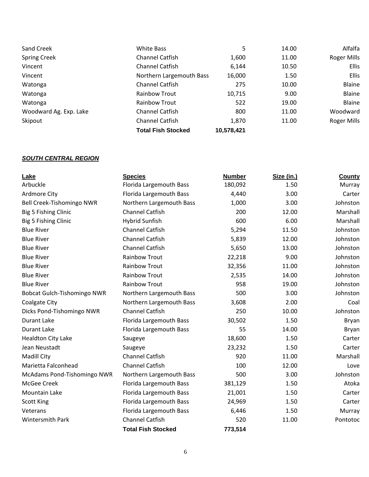| Sand Creek             | White Bass                | 5          | 14.00 | Alfalfa            |
|------------------------|---------------------------|------------|-------|--------------------|
| <b>Spring Creek</b>    | <b>Channel Catfish</b>    | 1,600      | 11.00 | <b>Roger Mills</b> |
| Vincent                | <b>Channel Catfish</b>    | 6,144      | 10.50 | <b>Ellis</b>       |
| Vincent                | Northern Largemouth Bass  | 16,000     | 1.50  | <b>Ellis</b>       |
| Watonga                | <b>Channel Catfish</b>    | 275        | 10.00 | Blaine             |
| Watonga                | <b>Rainbow Trout</b>      | 10,715     | 9.00  | Blaine             |
| Watonga                | <b>Rainbow Trout</b>      | 522        | 19.00 | Blaine             |
| Woodward Ag. Exp. Lake | <b>Channel Catfish</b>    | 800        | 11.00 | Woodward           |
| Skipout                | <b>Channel Catfish</b>    | 1,870      | 11.00 | <b>Roger Mills</b> |
|                        | <b>Total Fish Stocked</b> | 10,578,421 |       |                    |

#### *SOUTH CENTRAL REGION*

| Lake                        | <b>Species</b>            | <b>Number</b> | Size (in.) | County   |
|-----------------------------|---------------------------|---------------|------------|----------|
| Arbuckle                    | Florida Largemouth Bass   | 180,092       | 1.50       | Murray   |
| Ardmore City                | Florida Largemouth Bass   | 4,440         | 3.00       | Carter   |
| Bell Creek-Tishomingo NWR   | Northern Largemouth Bass  | 1,000         | 3.00       | Johnston |
| Big 5 Fishing Clinic        | <b>Channel Catfish</b>    | 200           | 12.00      | Marshall |
| Big 5 Fishing Clinic        | <b>Hybrid Sunfish</b>     | 600           | 6.00       | Marshall |
| <b>Blue River</b>           | <b>Channel Catfish</b>    | 5,294         | 11.50      | Johnston |
| <b>Blue River</b>           | <b>Channel Catfish</b>    | 5,839         | 12.00      | Johnston |
| <b>Blue River</b>           | <b>Channel Catfish</b>    | 5,650         | 13.00      | Johnston |
| <b>Blue River</b>           | <b>Rainbow Trout</b>      | 22,218        | 9.00       | Johnston |
| <b>Blue River</b>           | <b>Rainbow Trout</b>      | 32,356        | 11.00      | Johnston |
| <b>Blue River</b>           | <b>Rainbow Trout</b>      | 2,535         | 14.00      | Johnston |
| <b>Blue River</b>           | <b>Rainbow Trout</b>      | 958           | 19.00      | Johnston |
| Bobcat Gulch-Tishomingo NWR | Northern Largemouth Bass  | 500           | 3.00       | Johnston |
| Coalgate City               | Northern Largemouth Bass  | 3,608         | 2.00       | Coal     |
| Dicks Pond-Tishomingo NWR   | <b>Channel Catfish</b>    | 250           | 10.00      | Johnston |
| <b>Durant Lake</b>          | Florida Largemouth Bass   | 30,502        | 1.50       | Bryan    |
| Durant Lake                 | Florida Largemouth Bass   | 55            | 14.00      | Bryan    |
| <b>Healdton City Lake</b>   | Saugeye                   | 18,600        | 1.50       | Carter   |
| Jean Neustadt               | Saugeye                   | 23,232        | 1.50       | Carter   |
| Madill City                 | <b>Channel Catfish</b>    | 920           | 11.00      | Marshall |
| Marietta Falconhead         | <b>Channel Catfish</b>    | 100           | 12.00      | Love     |
| McAdams Pond-Tishomingo NWR | Northern Largemouth Bass  | 500           | 3.00       | Johnston |
| McGee Creek                 | Florida Largemouth Bass   | 381,129       | 1.50       | Atoka    |
| Mountain Lake               | Florida Largemouth Bass   | 21,001        | 1.50       | Carter   |
| <b>Scott King</b>           | Florida Largemouth Bass   | 24,969        | 1.50       | Carter   |
| Veterans                    | Florida Largemouth Bass   | 6,446         | 1.50       | Murray   |
| Wintersmith Park            | <b>Channel Catfish</b>    | 520           | 11.00      | Pontotoc |
|                             | <b>Total Fish Stocked</b> | 773,514       |            |          |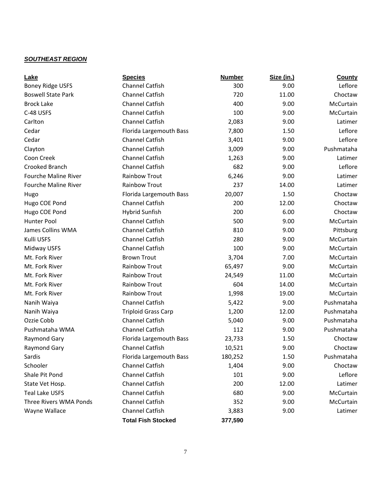## *SOUTHEAST REGION*

| Lake                        | <b>Species</b>             | <b>Number</b> | Size (in.) | <b>County</b> |
|-----------------------------|----------------------------|---------------|------------|---------------|
| <b>Boney Ridge USFS</b>     | <b>Channel Catfish</b>     | 300           | 9.00       | Leflore       |
| <b>Boswell State Park</b>   | <b>Channel Catfish</b>     | 720           | 11.00      | Choctaw       |
| <b>Brock Lake</b>           | <b>Channel Catfish</b>     | 400           | 9.00       | McCurtain     |
| C-48 USFS                   | <b>Channel Catfish</b>     | 100           | 9.00       | McCurtain     |
| Carlton                     | Channel Catfish            | 2,083         | 9.00       | Latimer       |
| Cedar                       | Florida Largemouth Bass    | 7,800         | 1.50       | Leflore       |
| Cedar                       | <b>Channel Catfish</b>     | 3,401         | 9.00       | Leflore       |
| Clayton                     | <b>Channel Catfish</b>     | 3,009         | 9.00       | Pushmataha    |
| Coon Creek                  | Channel Catfish            | 1,263         | 9.00       | Latimer       |
| Crooked Branch              | <b>Channel Catfish</b>     | 682           | 9.00       | Leflore       |
| <b>Fourche Maline River</b> | <b>Rainbow Trout</b>       | 6,246         | 9.00       | Latimer       |
| <b>Fourche Maline River</b> | <b>Rainbow Trout</b>       | 237           | 14.00      | Latimer       |
| Hugo                        | Florida Largemouth Bass    | 20,007        | 1.50       | Choctaw       |
| Hugo COE Pond               | Channel Catfish            | 200           | 12.00      | Choctaw       |
| Hugo COE Pond               | <b>Hybrid Sunfish</b>      | 200           | 6.00       | Choctaw       |
| Hunter Pool                 | Channel Catfish            | 500           | 9.00       | McCurtain     |
| <b>James Collins WMA</b>    | <b>Channel Catfish</b>     | 810           | 9.00       | Pittsburg     |
| Kulli USFS                  | <b>Channel Catfish</b>     | 280           | 9.00       | McCurtain     |
| Midway USFS                 | <b>Channel Catfish</b>     | 100           | 9.00       | McCurtain     |
| Mt. Fork River              | <b>Brown Trout</b>         | 3,704         | 7.00       | McCurtain     |
| Mt. Fork River              | <b>Rainbow Trout</b>       | 65,497        | 9.00       | McCurtain     |
| Mt. Fork River              | <b>Rainbow Trout</b>       | 24,549        | 11.00      | McCurtain     |
| Mt. Fork River              | <b>Rainbow Trout</b>       | 604           | 14.00      | McCurtain     |
| Mt. Fork River              | <b>Rainbow Trout</b>       | 1,998         | 19.00      | McCurtain     |
| Nanih Waiya                 | <b>Channel Catfish</b>     | 5,422         | 9.00       | Pushmataha    |
| Nanih Waiya                 | <b>Triploid Grass Carp</b> | 1,200         | 12.00      | Pushmataha    |
| Ozzie Cobb                  | <b>Channel Catfish</b>     | 5,040         | 9.00       | Pushmataha    |
| Pushmataha WMA              | <b>Channel Catfish</b>     | 112           | 9.00       | Pushmataha    |
| Raymond Gary                | Florida Largemouth Bass    | 23,733        | 1.50       | Choctaw       |
| Raymond Gary                | Channel Catfish            | 10,521        | 9.00       | Choctaw       |
| Sardis                      | Florida Largemouth Bass    | 180,252       | 1.50       | Pushmataha    |
| Schooler                    | Channel Catfish            | 1,404         | 9.00       | Choctaw       |
| Shale Pit Pond              | Channel Catfish            | 101           | 9.00       | Leflore       |
| State Vet Hosp.             | <b>Channel Catfish</b>     | 200           | 12.00      | Latimer       |
| <b>Teal Lake USFS</b>       | <b>Channel Catfish</b>     | 680           | 9.00       | McCurtain     |
| Three Rivers WMA Ponds      | Channel Catfish            | 352           | 9.00       | McCurtain     |
| Wayne Wallace               | Channel Catfish            | 3,883         | 9.00       | Latimer       |
|                             | <b>Total Fish Stocked</b>  | 377,590       |            |               |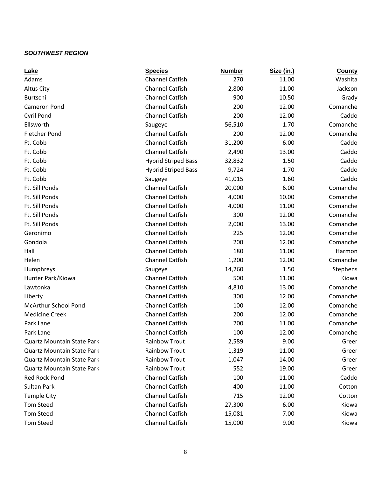## *SOUTHWEST REGION*

| Lake                              | <b>Species</b>             | <b>Number</b> | Size (in.) | <b>County</b> |
|-----------------------------------|----------------------------|---------------|------------|---------------|
| Adams                             | <b>Channel Catfish</b>     | 270           | 11.00      | Washita       |
| <b>Altus City</b>                 | <b>Channel Catfish</b>     | 2,800         | 11.00      | Jackson       |
| Burtschi                          | <b>Channel Catfish</b>     | 900           | 10.50      | Grady         |
| <b>Cameron Pond</b>               | <b>Channel Catfish</b>     | 200           | 12.00      | Comanche      |
| <b>Cyril Pond</b>                 | <b>Channel Catfish</b>     | 200           | 12.00      | Caddo         |
| Ellsworth                         | Saugeye                    | 56,510        | 1.70       | Comanche      |
| <b>Fletcher Pond</b>              | <b>Channel Catfish</b>     | 200           | 12.00      | Comanche      |
| Ft. Cobb                          | <b>Channel Catfish</b>     | 31,200        | 6.00       | Caddo         |
| Ft. Cobb                          | <b>Channel Catfish</b>     | 2,490         | 13.00      | Caddo         |
| Ft. Cobb                          | <b>Hybrid Striped Bass</b> | 32,832        | 1.50       | Caddo         |
| Ft. Cobb                          | <b>Hybrid Striped Bass</b> | 9,724         | 1.70       | Caddo         |
| Ft. Cobb                          | Saugeye                    | 41,015        | 1.60       | Caddo         |
| Ft. Sill Ponds                    | <b>Channel Catfish</b>     | 20,000        | 6.00       | Comanche      |
| Ft. Sill Ponds                    | <b>Channel Catfish</b>     | 4,000         | 10.00      | Comanche      |
| Ft. Sill Ponds                    | <b>Channel Catfish</b>     | 4,000         | 11.00      | Comanche      |
| Ft. Sill Ponds                    | <b>Channel Catfish</b>     | 300           | 12.00      | Comanche      |
| Ft. Sill Ponds                    | <b>Channel Catfish</b>     | 2,000         | 13.00      | Comanche      |
| Geronimo                          | <b>Channel Catfish</b>     | 225           | 12.00      | Comanche      |
| Gondola                           | <b>Channel Catfish</b>     | 200           | 12.00      | Comanche      |
| Hall                              | <b>Channel Catfish</b>     | 180           | 11.00      | Harmon        |
| Helen                             | <b>Channel Catfish</b>     | 1,200         | 12.00      | Comanche      |
| Humphreys                         | Saugeye                    | 14,260        | 1.50       | Stephens      |
| Hunter Park/Kiowa                 | <b>Channel Catfish</b>     | 500           | 11.00      | Kiowa         |
| Lawtonka                          | <b>Channel Catfish</b>     | 4,810         | 13.00      | Comanche      |
| Liberty                           | <b>Channel Catfish</b>     | 300           | 12.00      | Comanche      |
| McArthur School Pond              | <b>Channel Catfish</b>     | 100           | 12.00      | Comanche      |
| <b>Medicine Creek</b>             | <b>Channel Catfish</b>     | 200           | 12.00      | Comanche      |
| Park Lane                         | <b>Channel Catfish</b>     | 200           | 11.00      | Comanche      |
| Park Lane                         | <b>Channel Catfish</b>     | 100           | 12.00      | Comanche      |
| <b>Quartz Mountain State Park</b> | Rainbow Trout              | 2,589         | 9.00       | Greer         |
| <b>Quartz Mountain State Park</b> | Rainbow Trout              | 1,319         | 11.00      | Greer         |
| <b>Quartz Mountain State Park</b> | Rainbow Trout              | 1,047         | 14.00      | Greer         |
| <b>Quartz Mountain State Park</b> | Rainbow Trout              | 552           | 19.00      | Greer         |
| <b>Red Rock Pond</b>              | <b>Channel Catfish</b>     | 100           | 11.00      | Caddo         |
| Sultan Park                       | <b>Channel Catfish</b>     | 400           | 11.00      | Cotton        |
| <b>Temple City</b>                | <b>Channel Catfish</b>     | 715           | 12.00      | Cotton        |
| <b>Tom Steed</b>                  | <b>Channel Catfish</b>     | 27,300        | 6.00       | Kiowa         |
| <b>Tom Steed</b>                  | <b>Channel Catfish</b>     | 15,081        | 7.00       | Kiowa         |
| <b>Tom Steed</b>                  | Channel Catfish            | 15,000        | 9.00       | Kiowa         |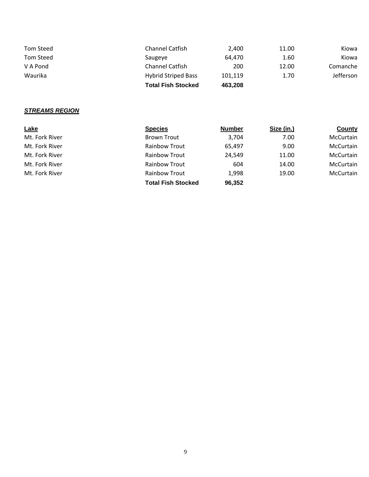| Tom Steed | <b>Channel Catfish</b>     | 2.400   | 11.00 | Kiowa            |
|-----------|----------------------------|---------|-------|------------------|
| Tom Steed | Saugeye                    | 64.470  | 1.60  | Kiowa            |
| V A Pond  | <b>Channel Catfish</b>     | 200     | 12.00 | Comanche         |
| Waurika   | <b>Hybrid Striped Bass</b> | 101.119 | 1.70  | <b>Jefferson</b> |
|           | <b>Total Fish Stocked</b>  | 463,208 |       |                  |

## *STREAMS REGION*

| Lake           | <b>Species</b>            | <b>Number</b> | Size (in.) | <b>County</b>    |
|----------------|---------------------------|---------------|------------|------------------|
| Mt. Fork River | <b>Brown Trout</b>        | 3,704         | 7.00       | <b>McCurtain</b> |
| Mt. Fork River | <b>Rainbow Trout</b>      | 65,497        | 9.00       | McCurtain        |
| Mt. Fork River | <b>Rainbow Trout</b>      | 24,549        | 11.00      | <b>McCurtain</b> |
| Mt. Fork River | <b>Rainbow Trout</b>      | 604           | 14.00      | McCurtain        |
| Mt. Fork River | <b>Rainbow Trout</b>      | 1,998         | 19.00      | McCurtain        |
|                | <b>Total Fish Stocked</b> | 96,352        |            |                  |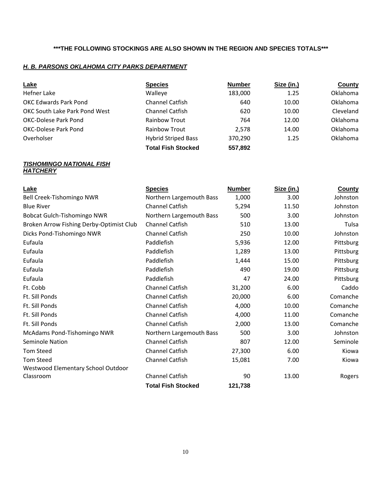## **\*\*\*THE FOLLOWING STOCKINGS ARE ALSO SHOWN IN THE REGION AND SPECIES TOTALS\*\*\***

### *H. B. PARSONS OKLAHOMA CITY PARKS DEPARTMENT*

| <b>Lake</b>                   | <b>Species</b>             | <b>Number</b> | Size (in.) | <b>County</b>   |
|-------------------------------|----------------------------|---------------|------------|-----------------|
| <b>Hefner Lake</b>            | Walleye                    | 183,000       | 1.25       | Oklahoma        |
| <b>OKC Edwards Park Pond</b>  | <b>Channel Catfish</b>     | 640           | 10.00      | <b>Oklahoma</b> |
| OKC South Lake Park Pond West | <b>Channel Catfish</b>     | 620           | 10.00      | Cleveland       |
| <b>OKC-Dolese Park Pond</b>   | <b>Rainbow Trout</b>       | 764           | 12.00      | <b>Oklahoma</b> |
| OKC-Dolese Park Pond          | Rainbow Trout              | 2,578         | 14.00      | <b>Oklahoma</b> |
| Overholser                    | <b>Hybrid Striped Bass</b> | 370,290       | 1.25       | <b>Oklahoma</b> |
|                               | <b>Total Fish Stocked</b>  | 557,892       |            |                 |

#### *TISHOMINGO NATIONAL FISH HATCHERY*

| Lake                                     | <b>Species</b>            | <b>Number</b> | Size (in.) | <b>County</b> |
|------------------------------------------|---------------------------|---------------|------------|---------------|
| Bell Creek-Tishomingo NWR                | Northern Largemouth Bass  | 1,000         | 3.00       | Johnston      |
| <b>Blue River</b>                        | <b>Channel Catfish</b>    | 5,294         | 11.50      | Johnston      |
| Bobcat Gulch-Tishomingo NWR              | Northern Largemouth Bass  | 500           | 3.00       | Johnston      |
| Broken Arrow Fishing Derby-Optimist Club | Channel Catfish           | 510           | 13.00      | Tulsa         |
| Dicks Pond-Tishomingo NWR                | Channel Catfish           | 250           | 10.00      | Johnston      |
| Eufaula                                  | Paddlefish                | 5,936         | 12.00      | Pittsburg     |
| Eufaula                                  | Paddlefish                | 1,289         | 13.00      | Pittsburg     |
| Eufaula                                  | Paddlefish                | 1,444         | 15.00      | Pittsburg     |
| Eufaula                                  | Paddlefish                | 490           | 19.00      | Pittsburg     |
| Eufaula                                  | Paddlefish                | 47            | 24.00      | Pittsburg     |
| Ft. Cobb                                 | Channel Catfish           | 31,200        | 6.00       | Caddo         |
| Ft. Sill Ponds                           | Channel Catfish           | 20,000        | 6.00       | Comanche      |
| Ft. Sill Ponds                           | <b>Channel Catfish</b>    | 4,000         | 10.00      | Comanche      |
| Ft. Sill Ponds                           | Channel Catfish           | 4,000         | 11.00      | Comanche      |
| Ft. Sill Ponds                           | <b>Channel Catfish</b>    | 2,000         | 13.00      | Comanche      |
| McAdams Pond-Tishomingo NWR              | Northern Largemouth Bass  | 500           | 3.00       | Johnston      |
| <b>Seminole Nation</b>                   | Channel Catfish           | 807           | 12.00      | Seminole      |
| <b>Tom Steed</b>                         | Channel Catfish           | 27,300        | 6.00       | Kiowa         |
| <b>Tom Steed</b>                         | Channel Catfish           | 15,081        | 7.00       | Kiowa         |
| Westwood Elementary School Outdoor       |                           |               |            |               |
| Classroom                                | Channel Catfish           | 90            | 13.00      | Rogers        |
|                                          | <b>Total Fish Stocked</b> | 121,738       |            |               |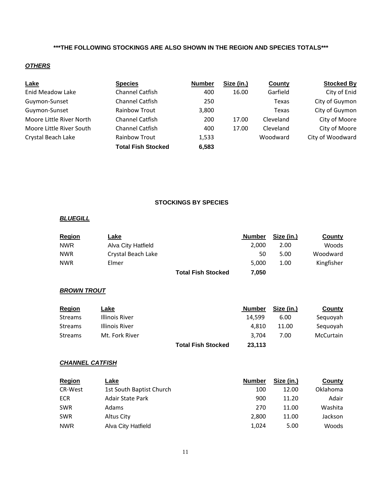## **\*\*\*THE FOLLOWING STOCKINGS ARE ALSO SHOWN IN THE REGION AND SPECIES TOTALS\*\*\***

#### *OTHERS*

| <b>Lake</b>              | <b>Species</b>            | <b>Number</b> | Size (in.) | County    | <b>Stocked By</b> |
|--------------------------|---------------------------|---------------|------------|-----------|-------------------|
| <b>Enid Meadow Lake</b>  | Channel Catfish           | 400           | 16.00      | Garfield  | City of Enid      |
| Guymon-Sunset            | Channel Catfish           | 250           |            | Texas     | City of Guymon    |
| Guymon-Sunset            | <b>Rainbow Trout</b>      | 3,800         |            | Texas     | City of Guymon    |
| Moore Little River North | Channel Catfish           | 200           | 17.00      | Cleveland | City of Moore     |
| Moore Little River South | <b>Channel Catfish</b>    | 400           | 17.00      | Cleveland | City of Moore     |
| Crystal Beach Lake       | <b>Rainbow Trout</b>      | 1,533         |            | Woodward  | City of Woodward  |
|                          | <b>Total Fish Stocked</b> | 6,583         |            |           |                   |

#### **STOCKINGS BY SPECIES**

#### *BLUEGILL*

| <b>Region</b> | Lake               |                           | <b>Number</b> | Size (in.) | County     |
|---------------|--------------------|---------------------------|---------------|------------|------------|
| <b>NWR</b>    | Alva City Hatfield |                           | 2.000         | 2.00       | Woods      |
| <b>NWR</b>    | Crystal Beach Lake |                           | 50            | 5.00       | Woodward   |
| <b>NWR</b>    | Elmer              |                           | 5.000         | 1.00       | Kingfisher |
|               |                    | <b>Total Fish Stocked</b> | 7,050         |            |            |

#### **BROWN TROUT**

| <b>Region</b>  | <u>Lake</u>    |                           | <b>Number</b> | Size (in.) | County    |
|----------------|----------------|---------------------------|---------------|------------|-----------|
| <b>Streams</b> | Illinois River |                           | 14.599        | 6.00       | Seguovah  |
| <b>Streams</b> | Illinois River |                           | 4.810         | 11.00      | Seguovah  |
| <b>Streams</b> | Mt. Fork River |                           | 3.704         | 7.00       | McCurtain |
|                |                | <b>Total Fish Stocked</b> | 23,113        |            |           |

#### *CHANNEL CATFISH*

| <b>Region</b>  | <b>Lake</b>              | <b>Number</b> | Size (in.) | <b>County</b>   |
|----------------|--------------------------|---------------|------------|-----------------|
| <b>CR-West</b> | 1st South Baptist Church | 100           | 12.00      | <b>Oklahoma</b> |
| ECR            | <b>Adair State Park</b>  | 900           | 11.20      | Adair           |
| <b>SWR</b>     | Adams                    | 270           | 11.00      | Washita         |
| <b>SWR</b>     | Altus City               | 2,800         | 11.00      | Jackson         |
| <b>NWR</b>     | Alva City Hatfield       | 1,024         | 5.00       | Woods           |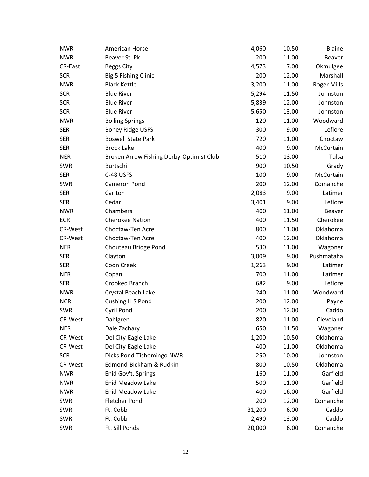| <b>NWR</b>     | American Horse                           | 4,060  | 10.50 | <b>Blaine</b>      |
|----------------|------------------------------------------|--------|-------|--------------------|
| <b>NWR</b>     | Beaver St. Pk.                           | 200    | 11.00 | Beaver             |
| <b>CR-East</b> | <b>Beggs City</b>                        | 4,573  | 7.00  | Okmulgee           |
| <b>SCR</b>     | Big 5 Fishing Clinic                     | 200    | 12.00 | Marshall           |
| <b>NWR</b>     | <b>Black Kettle</b>                      | 3,200  | 11.00 | <b>Roger Mills</b> |
| <b>SCR</b>     | <b>Blue River</b>                        | 5,294  | 11.50 | Johnston           |
| <b>SCR</b>     | <b>Blue River</b>                        | 5,839  | 12.00 | Johnston           |
| <b>SCR</b>     | <b>Blue River</b>                        | 5,650  | 13.00 | Johnston           |
| <b>NWR</b>     | <b>Boiling Springs</b>                   | 120    | 11.00 | Woodward           |
| <b>SER</b>     | <b>Boney Ridge USFS</b>                  | 300    | 9.00  | Leflore            |
| <b>SER</b>     | <b>Boswell State Park</b>                | 720    | 11.00 | Choctaw            |
| <b>SER</b>     | <b>Brock Lake</b>                        | 400    | 9.00  | McCurtain          |
| <b>NER</b>     | Broken Arrow Fishing Derby-Optimist Club | 510    | 13.00 | Tulsa              |
| <b>SWR</b>     | Burtschi                                 | 900    | 10.50 | Grady              |
| <b>SER</b>     | C-48 USFS                                | 100    | 9.00  | McCurtain          |
| <b>SWR</b>     | Cameron Pond                             | 200    | 12.00 | Comanche           |
| <b>SER</b>     | Carlton                                  | 2,083  | 9.00  | Latimer            |
| <b>SER</b>     | Cedar                                    | 3,401  | 9.00  | Leflore            |
| <b>NWR</b>     | Chambers                                 | 400    | 11.00 | Beaver             |
| <b>ECR</b>     | <b>Cherokee Nation</b>                   | 400    | 11.50 | Cherokee           |
| CR-West        | Choctaw-Ten Acre                         | 800    | 11.00 | Oklahoma           |
| CR-West        | Choctaw-Ten Acre                         | 400    | 12.00 | Oklahoma           |
| <b>NER</b>     | Chouteau Bridge Pond                     | 530    | 11.00 | Wagoner            |
| <b>SER</b>     | Clayton                                  | 3,009  | 9.00  | Pushmataha         |
| <b>SER</b>     | Coon Creek                               | 1,263  | 9.00  | Latimer            |
| <b>NER</b>     | Copan                                    | 700    | 11.00 | Latimer            |
| <b>SER</b>     | Crooked Branch                           | 682    | 9.00  | Leflore            |
| <b>NWR</b>     | Crystal Beach Lake                       | 240    | 11.00 | Woodward           |
| <b>NCR</b>     | Cushing H S Pond                         | 200    | 12.00 | Payne              |
| <b>SWR</b>     | Cyril Pond                               | 200    | 12.00 | Caddo              |
| CR-West        | Dahlgren                                 | 820    | 11.00 | Cleveland          |
| <b>NER</b>     | Dale Zachary                             | 650    | 11.50 | Wagoner            |
| CR-West        | Del City-Eagle Lake                      | 1,200  | 10.50 | Oklahoma           |
| CR-West        | Del City-Eagle Lake                      | 400    | 11.00 | Oklahoma           |
| <b>SCR</b>     | Dicks Pond-Tishomingo NWR                | 250    | 10.00 | Johnston           |
| CR-West        | Edmond-Bickham & Rudkin                  | 800    | 10.50 | Oklahoma           |
| <b>NWR</b>     | Enid Gov't. Springs                      | 160    | 11.00 | Garfield           |
| <b>NWR</b>     | Enid Meadow Lake                         | 500    | 11.00 | Garfield           |
| <b>NWR</b>     | <b>Enid Meadow Lake</b>                  | 400    | 16.00 | Garfield           |
| <b>SWR</b>     | <b>Fletcher Pond</b>                     | 200    | 12.00 | Comanche           |
| <b>SWR</b>     | Ft. Cobb                                 | 31,200 | 6.00  | Caddo              |
| <b>SWR</b>     | Ft. Cobb                                 | 2,490  | 13.00 | Caddo              |
| <b>SWR</b>     | Ft. Sill Ponds                           | 20,000 | 6.00  | Comanche           |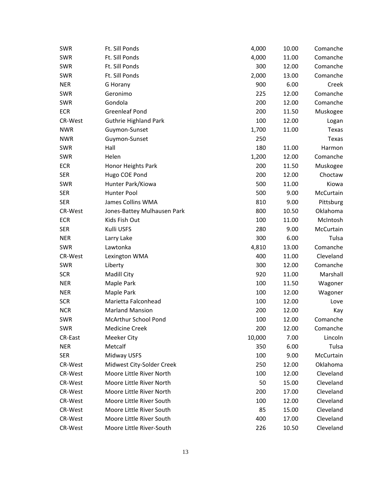| <b>SWR</b> | Ft. Sill Ponds               | 4,000  | 10.00 | Comanche  |
|------------|------------------------------|--------|-------|-----------|
| <b>SWR</b> | Ft. Sill Ponds               | 4,000  | 11.00 | Comanche  |
| <b>SWR</b> | Ft. Sill Ponds               | 300    | 12.00 | Comanche  |
| <b>SWR</b> | Ft. Sill Ponds               | 2,000  | 13.00 | Comanche  |
| <b>NER</b> | G Horany                     | 900    | 6.00  | Creek     |
| <b>SWR</b> | Geronimo                     | 225    | 12.00 | Comanche  |
| <b>SWR</b> | Gondola                      | 200    | 12.00 | Comanche  |
| <b>ECR</b> | <b>Greenleaf Pond</b>        | 200    | 11.50 | Muskogee  |
| CR-West    | <b>Guthrie Highland Park</b> | 100    | 12.00 | Logan     |
| <b>NWR</b> | Guymon-Sunset                | 1,700  | 11.00 | Texas     |
| <b>NWR</b> | Guymon-Sunset                | 250    |       | Texas     |
| <b>SWR</b> | Hall                         | 180    | 11.00 | Harmon    |
| <b>SWR</b> | Helen                        | 1,200  | 12.00 | Comanche  |
| <b>ECR</b> | Honor Heights Park           | 200    | 11.50 | Muskogee  |
| <b>SER</b> | Hugo COE Pond                | 200    | 12.00 | Choctaw   |
| <b>SWR</b> | Hunter Park/Kiowa            | 500    | 11.00 | Kiowa     |
| <b>SER</b> | Hunter Pool                  | 500    | 9.00  | McCurtain |
| <b>SER</b> | James Collins WMA            | 810    | 9.00  | Pittsburg |
| CR-West    | Jones-Battey Mulhausen Park  | 800    | 10.50 | Oklahoma  |
| <b>ECR</b> | Kids Fish Out                | 100    | 11.00 | McIntosh  |
| <b>SER</b> | Kulli USFS                   | 280    | 9.00  | McCurtain |
| <b>NER</b> | Larry Lake                   | 300    | 6.00  | Tulsa     |
| <b>SWR</b> | Lawtonka                     | 4,810  | 13.00 | Comanche  |
| CR-West    | Lexington WMA                | 400    | 11.00 | Cleveland |
| <b>SWR</b> | Liberty                      | 300    | 12.00 | Comanche  |
| <b>SCR</b> | Madill City                  | 920    | 11.00 | Marshall  |
| <b>NER</b> | Maple Park                   | 100    | 11.50 | Wagoner   |
| <b>NER</b> | Maple Park                   | 100    | 12.00 | Wagoner   |
| <b>SCR</b> | Marietta Falconhead          | 100    | 12.00 | Love      |
| <b>NCR</b> | <b>Marland Mansion</b>       | 200    | 12.00 | Kay       |
| <b>SWR</b> | McArthur School Pond         | 100    | 12.00 | Comanche  |
| <b>SWR</b> | <b>Medicine Creek</b>        | 200    | 12.00 | Comanche  |
| CR-East    | <b>Meeker City</b>           | 10,000 | 7.00  | Lincoln   |
| <b>NER</b> | Metcalf                      | 350    | 6.00  | Tulsa     |
| <b>SER</b> | Midway USFS                  | 100    | 9.00  | McCurtain |
| CR-West    | Midwest City-Solder Creek    | 250    | 12.00 | Oklahoma  |
| CR-West    | Moore Little River North     | 100    | 12.00 | Cleveland |
| CR-West    | Moore Little River North     | 50     | 15.00 | Cleveland |
| CR-West    | Moore Little River North     | 200    | 17.00 | Cleveland |
| CR-West    | Moore Little River South     | 100    | 12.00 | Cleveland |
| CR-West    | Moore Little River South     | 85     | 15.00 | Cleveland |
| CR-West    | Moore Little River South     | 400    | 17.00 | Cleveland |
| CR-West    | Moore Little River-South     | 226    | 10.50 | Cleveland |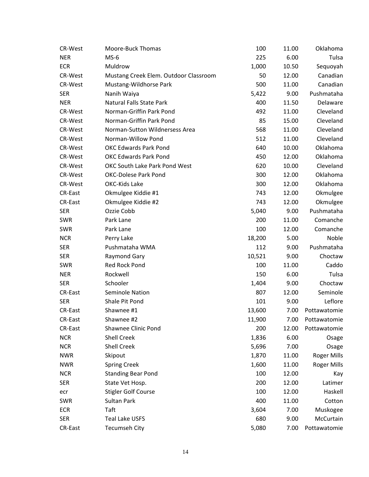| CR-West        | Moore-Buck Thomas                     | 100    | 11.00 | Oklahoma           |
|----------------|---------------------------------------|--------|-------|--------------------|
| <b>NER</b>     | $MS-6$                                | 225    | 6.00  | Tulsa              |
| <b>ECR</b>     | Muldrow                               | 1,000  | 10.50 | Sequoyah           |
| CR-West        | Mustang Creek Elem. Outdoor Classroom | 50     | 12.00 | Canadian           |
| CR-West        | Mustang-Wildhorse Park                | 500    | 11.00 | Canadian           |
| <b>SER</b>     | Nanih Waiya                           | 5,422  | 9.00  | Pushmataha         |
| <b>NER</b>     | <b>Natural Falls State Park</b>       | 400    | 11.50 | Delaware           |
| CR-West        | Norman-Griffin Park Pond              | 492    | 11.00 | Cleveland          |
| <b>CR-West</b> | Norman-Griffin Park Pond              | 85     | 15.00 | Cleveland          |
| CR-West        | Norman-Sutton Wildnersess Area        | 568    | 11.00 | Cleveland          |
| CR-West        | Norman-Willow Pond                    | 512    | 11.00 | Cleveland          |
| CR-West        | <b>OKC Edwards Park Pond</b>          | 640    | 10.00 | Oklahoma           |
| <b>CR-West</b> | <b>OKC Edwards Park Pond</b>          | 450    | 12.00 | Oklahoma           |
| CR-West        | OKC South Lake Park Pond West         | 620    | 10.00 | Cleveland          |
| CR-West        | <b>OKC-Dolese Park Pond</b>           | 300    | 12.00 | Oklahoma           |
| CR-West        | OKC-Kids Lake                         | 300    | 12.00 | Oklahoma           |
| CR-East        | Okmulgee Kiddie #1                    | 743    | 12.00 | Okmulgee           |
| <b>CR-East</b> | Okmulgee Kiddie #2                    | 743    | 12.00 | Okmulgee           |
| <b>SER</b>     | Ozzie Cobb                            | 5,040  | 9.00  | Pushmataha         |
| <b>SWR</b>     | Park Lane                             | 200    | 11.00 | Comanche           |
| <b>SWR</b>     | Park Lane                             | 100    | 12.00 | Comanche           |
| <b>NCR</b>     | Perry Lake                            | 18,200 | 5.00  | Noble              |
| <b>SER</b>     | Pushmataha WMA                        | 112    | 9.00  | Pushmataha         |
| <b>SER</b>     | <b>Raymond Gary</b>                   | 10,521 | 9.00  | Choctaw            |
| <b>SWR</b>     | Red Rock Pond                         | 100    | 11.00 | Caddo              |
| <b>NER</b>     | Rockwell                              | 150    | 6.00  | Tulsa              |
| <b>SER</b>     | Schooler                              | 1,404  | 9.00  | Choctaw            |
| <b>CR-East</b> | Seminole Nation                       | 807    | 12.00 | Seminole           |
| <b>SER</b>     | Shale Pit Pond                        | 101    | 9.00  | Leflore            |
| CR-East        | Shawnee #1                            | 13,600 | 7.00  | Pottawatomie       |
| CR-East        | Shawnee #2                            | 11,900 | 7.00  | Pottawatomie       |
| CR-East        | Shawnee Clinic Pond                   | 200    | 12.00 | Pottawatomie       |
| <b>NCR</b>     | <b>Shell Creek</b>                    | 1,836  | 6.00  | Osage              |
| <b>NCR</b>     | <b>Shell Creek</b>                    | 5,696  | 7.00  | Osage              |
| <b>NWR</b>     | Skipout                               | 1,870  | 11.00 | <b>Roger Mills</b> |
| <b>NWR</b>     | <b>Spring Creek</b>                   | 1,600  | 11.00 | <b>Roger Mills</b> |
| <b>NCR</b>     | <b>Standing Bear Pond</b>             | 100    | 12.00 | Kay                |
| <b>SER</b>     | State Vet Hosp.                       | 200    | 12.00 | Latimer            |
| ecr            | <b>Stigler Golf Course</b>            | 100    | 12.00 | Haskell            |
| <b>SWR</b>     | Sultan Park                           | 400    | 11.00 | Cotton             |
| <b>ECR</b>     | Taft                                  | 3,604  | 7.00  | Muskogee           |
| <b>SER</b>     | <b>Teal Lake USFS</b>                 | 680    | 9.00  | McCurtain          |
| CR-East        | <b>Tecumseh City</b>                  | 5,080  | 7.00  | Pottawatomie       |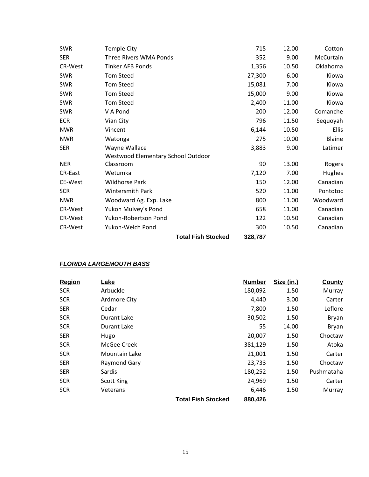| SWR            | <b>Temple City</b>                 | 715     | 12.00 | Cotton    |
|----------------|------------------------------------|---------|-------|-----------|
| <b>SER</b>     | Three Rivers WMA Ponds             | 352     | 9.00  | McCurtain |
| <b>CR-West</b> | <b>Tinker AFB Ponds</b>            | 1,356   | 10.50 | Oklahoma  |
| <b>SWR</b>     | <b>Tom Steed</b>                   | 27,300  | 6.00  | Kiowa     |
| SWR            | <b>Tom Steed</b>                   | 15,081  | 7.00  | Kiowa     |
| <b>SWR</b>     | <b>Tom Steed</b>                   | 15,000  | 9.00  | Kiowa     |
| SWR            | <b>Tom Steed</b>                   | 2,400   | 11.00 | Kiowa     |
| SWR            | V A Pond                           | 200     | 12.00 | Comanche  |
| <b>ECR</b>     | Vian City                          | 796     | 11.50 | Sequoyah  |
| <b>NWR</b>     | Vincent                            | 6,144   | 10.50 | Ellis     |
| <b>NWR</b>     | Watonga                            | 275     | 10.00 | Blaine    |
| <b>SER</b>     | Wayne Wallace                      | 3,883   | 9.00  | Latimer   |
|                | Westwood Elementary School Outdoor |         |       |           |
| <b>NER</b>     | Classroom                          | 90      | 13.00 | Rogers    |
| <b>CR-East</b> | Wetumka                            | 7,120   | 7.00  | Hughes    |
| CE-West        | <b>Wildhorse Park</b>              | 150     | 12.00 | Canadian  |
| <b>SCR</b>     | <b>Wintersmith Park</b>            | 520     | 11.00 | Pontotoc  |
| <b>NWR</b>     | Woodward Ag. Exp. Lake             | 800     | 11.00 | Woodward  |
| <b>CR-West</b> | Yukon Mulvey's Pond                | 658     | 11.00 | Canadian  |
| <b>CR-West</b> | Yukon-Robertson Pond               | 122     | 10.50 | Canadian  |
| <b>CR-West</b> | Yukon-Welch Pond                   | 300     | 10.50 | Canadian  |
|                | <b>Total Fish Stocked</b>          | 328,787 |       |           |

## *FLORIDA LARGEMOUTH BASS*

| Region     | Lake                 |                           | <b>Number</b> | Size (in.) | County     |
|------------|----------------------|---------------------------|---------------|------------|------------|
| <b>SCR</b> | Arbuckle             |                           | 180,092       | 1.50       | Murray     |
| <b>SCR</b> | Ardmore City         |                           | 4,440         | 3.00       | Carter     |
| <b>SER</b> | Cedar                |                           | 7,800         | 1.50       | Leflore    |
| <b>SCR</b> | Durant Lake          |                           | 30,502        | 1.50       | Bryan      |
| <b>SCR</b> | Durant Lake          |                           | 55            | 14.00      | Bryan      |
| <b>SER</b> | Hugo                 |                           | 20,007        | 1.50       | Choctaw    |
| <b>SCR</b> | McGee Creek          |                           | 381,129       | 1.50       | Atoka      |
| <b>SCR</b> | <b>Mountain Lake</b> |                           | 21,001        | 1.50       | Carter     |
| <b>SER</b> | Raymond Gary         |                           | 23,733        | 1.50       | Choctaw    |
| <b>SER</b> | Sardis               |                           | 180,252       | 1.50       | Pushmataha |
| <b>SCR</b> | <b>Scott King</b>    |                           | 24,969        | 1.50       | Carter     |
| <b>SCR</b> | Veterans             |                           | 6,446         | 1.50       | Murray     |
|            |                      | <b>Total Fish Stocked</b> | 880,426       |            |            |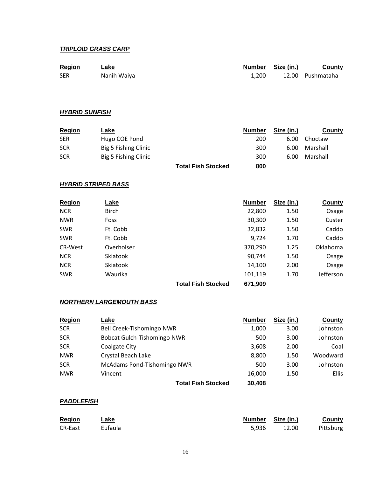#### *TRIPLOID GRASS CARP*

| <b>Region</b> | ∟ake        |       | Number Size (in.) | County           |
|---------------|-------------|-------|-------------------|------------------|
| <b>SER</b>    | Nanih Waiya | 1.200 |                   | 12.00 Pushmataha |

#### *HYBRID SUNFISH*

| <b>Region</b> | Lake                 |                           | <b>Number</b> | Size (in.) | County   |
|---------------|----------------------|---------------------------|---------------|------------|----------|
| SER           | Hugo COE Pond        |                           | 200           | 6.00       | Choctaw  |
| <b>SCR</b>    | Big 5 Fishing Clinic |                           | 300           | 6.00       | Marshall |
| SCR           | Big 5 Fishing Clinic |                           | 300           | 6.00       | Marshall |
|               |                      | <b>Total Fish Stocked</b> | 800           |            |          |

#### *HYBRID STRIPED BASS*

| <b>Region</b>  | Lake         |                           | <b>Number</b> | Size (in.) | <b>County</b> |
|----------------|--------------|---------------------------|---------------|------------|---------------|
| <b>NCR</b>     | <b>Birch</b> |                           | 22,800        | 1.50       | Osage         |
| <b>NWR</b>     | Foss         |                           | 30,300        | 1.50       | Custer        |
| <b>SWR</b>     | Ft. Cobb     |                           | 32,832        | 1.50       | Caddo         |
| <b>SWR</b>     | Ft. Cobb     |                           | 9,724         | 1.70       | Caddo         |
| <b>CR-West</b> | Overholser   |                           | 370,290       | 1.25       | Oklahoma      |
| <b>NCR</b>     | Skiatook     |                           | 90,744        | 1.50       | Osage         |
| <b>NCR</b>     | Skiatook     |                           | 14,100        | 2.00       | Osage         |
| <b>SWR</b>     | Waurika      |                           | 101,119       | 1.70       | Jefferson     |
|                |              | <b>Total Fish Stocked</b> | 671,909       |            |               |

#### *NORTHERN LARGEMOUTH BASS*

| <b>Region</b> | Lake                               | <b>Number</b> | Size (in.) | County       |
|---------------|------------------------------------|---------------|------------|--------------|
| <b>SCR</b>    | Bell Creek-Tishomingo NWR          | 1,000         | 3.00       | Johnston     |
| <b>SCR</b>    | <b>Bobcat Gulch-Tishomingo NWR</b> | 500           | 3.00       | Johnston     |
| <b>SCR</b>    | <b>Coalgate City</b>               | 3,608         | 2.00       | Coal         |
| <b>NWR</b>    | Crystal Beach Lake                 | 8,800         | 1.50       | Woodward     |
| <b>SCR</b>    | McAdams Pond-Tishomingo NWR        | 500           | 3.00       | Johnston     |
| <b>NWR</b>    | Vincent                            | 16.000        | 1.50       | <b>Ellis</b> |
|               | <b>Total Fish Stocked</b>          | 30,408        |            |              |

## *PADDLEFISH*

| Region         | Lake    |       | Number Size (in.) | <b>County</b> |
|----------------|---------|-------|-------------------|---------------|
| <b>CR-East</b> | Eufaula | 5.936 | 12.00             | Pittsburg     |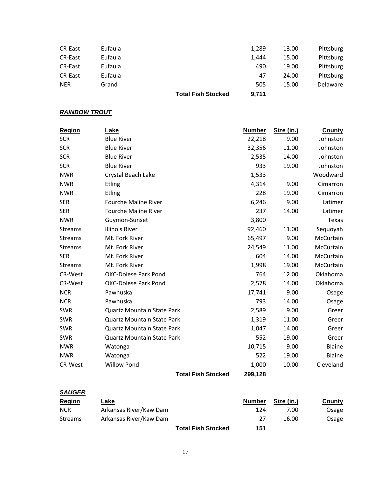|                |         | <b>Total Fish Stocked</b> | 9,711 |       |                 |
|----------------|---------|---------------------------|-------|-------|-----------------|
| <b>NER</b>     | Grand   |                           | 505   | 15.00 | <b>Delaware</b> |
| <b>CR-East</b> | Eufaula |                           | 47    | 24.00 | Pittsburg       |
| CR-East        | Eufaula |                           | 490   | 19.00 | Pittsburg       |
| CR-East        | Eufaula |                           | 1,444 | 15.00 | Pittsburg       |
| CR-East        | Eufaula |                           | 1,289 | 13.00 | Pittsburg       |
|                |         |                           |       |       |                 |

## **RAINBOW TROUT**

| <b>Region</b>  | Lake                              | <b>Number</b> | Size (in.) | <b>County</b> |
|----------------|-----------------------------------|---------------|------------|---------------|
| <b>SCR</b>     | <b>Blue River</b>                 | 22,218        | 9.00       | Johnston      |
| <b>SCR</b>     | <b>Blue River</b>                 | 32,356        | 11.00      | Johnston      |
| <b>SCR</b>     | <b>Blue River</b>                 | 2,535         | 14.00      | Johnston      |
| <b>SCR</b>     | <b>Blue River</b>                 | 933           | 19.00      | Johnston      |
| <b>NWR</b>     | Crystal Beach Lake                | 1,533         |            | Woodward      |
| <b>NWR</b>     | <b>Etling</b>                     | 4,314         | 9.00       | Cimarron      |
| <b>NWR</b>     | <b>Etling</b>                     | 228           | 19.00      | Cimarron      |
| <b>SER</b>     | <b>Fourche Maline River</b>       | 6,246         | 9.00       | Latimer       |
| <b>SER</b>     | Fourche Maline River              | 237           | 14.00      | Latimer       |
| <b>NWR</b>     | Guymon-Sunset                     | 3,800         |            | Texas         |
| <b>Streams</b> | <b>Illinois River</b>             | 92,460        | 11.00      | Sequoyah      |
| <b>Streams</b> | Mt. Fork River                    | 65,497        | 9.00       | McCurtain     |
| <b>Streams</b> | Mt. Fork River                    | 24,549        | 11.00      | McCurtain     |
| <b>SER</b>     | Mt. Fork River                    | 604           | 14.00      | McCurtain     |
| <b>Streams</b> | Mt. Fork River                    | 1,998         | 19.00      | McCurtain     |
| CR-West        | <b>OKC-Dolese Park Pond</b>       | 764           | 12.00      | Oklahoma      |
| <b>CR-West</b> | <b>OKC-Dolese Park Pond</b>       | 2,578         | 14.00      | Oklahoma      |
| <b>NCR</b>     | Pawhuska                          | 17,741        | 9.00       | Osage         |
| <b>NCR</b>     | Pawhuska                          | 793           | 14.00      | Osage         |
| <b>SWR</b>     | <b>Quartz Mountain State Park</b> | 2,589         | 9.00       | Greer         |
| <b>SWR</b>     | <b>Quartz Mountain State Park</b> | 1,319         | 11.00      | Greer         |
| SWR            | <b>Quartz Mountain State Park</b> | 1,047         | 14.00      | Greer         |
| <b>SWR</b>     | <b>Quartz Mountain State Park</b> | 552           | 19.00      | Greer         |
| <b>NWR</b>     | Watonga                           | 10,715        | 9.00       | Blaine        |
| <b>NWR</b>     | Watonga                           | 522           | 19.00      | Blaine        |
| <b>CR-West</b> | <b>Willow Pond</b>                | 1,000         | 10.00      | Cleveland     |
|                | <b>Total Fish Stocked</b>         | 299,128       |            |               |

| <b>SAUGER</b>  |                        |                           |               |            |               |
|----------------|------------------------|---------------------------|---------------|------------|---------------|
| <b>Region</b>  | Lake                   |                           | <b>Number</b> | Size (in.) | <b>County</b> |
| <b>NCR</b>     | Arkansas River/Kaw Dam |                           | 124           | 7.00       | Osage         |
| <b>Streams</b> | Arkansas River/Kaw Dam |                           | 27            | 16.00      | Osage         |
|                |                        | <b>Total Fish Stocked</b> | 151           |            |               |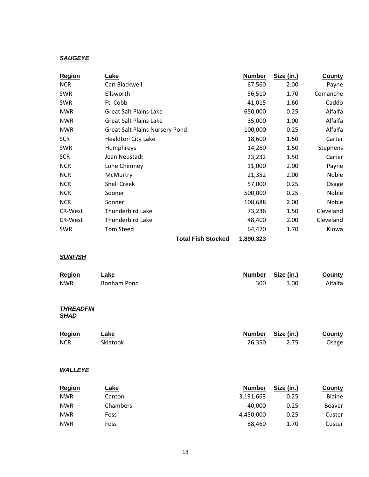## *SAUGEYE*

| Region         | Lake                                  | <b>Number</b> | Size (in.) | <b>County</b> |
|----------------|---------------------------------------|---------------|------------|---------------|
| <b>NCR</b>     | Carl Blackwell                        | 67,560        | 2.00       | Payne         |
| <b>SWR</b>     | Ellsworth                             | 56,510        | 1.70       | Comanche      |
| <b>SWR</b>     | Ft. Cobb                              | 41,015        | 1.60       | Caddo         |
| <b>NWR</b>     | <b>Great Salt Plains Lake</b>         | 650,000       | 0.25       | Alfalfa       |
| <b>NWR</b>     | <b>Great Salt Plains Lake</b>         | 35,000        | 1.00       | Alfalfa       |
| <b>NWR</b>     | <b>Great Salt Plains Nursery Pond</b> | 100,000       | 0.25       | Alfalfa       |
| <b>SCR</b>     | <b>Healdton City Lake</b>             | 18,600        | 1.50       | Carter        |
| <b>SWR</b>     | Humphreys                             | 14,260        | 1.50       | Stephens      |
| <b>SCR</b>     | Jean Neustadt                         | 23,232        | 1.50       | Carter        |
| <b>NCR</b>     | Lone Chimney                          | 11,000        | 2.00       | Payne         |
| <b>NCR</b>     | McMurtry                              | 21,352        | 2.00       | Noble         |
| <b>NCR</b>     | <b>Shell Creek</b>                    | 57,000        | 0.25       | Osage         |
| <b>NCR</b>     | Sooner                                | 500,000       | 0.25       | Noble         |
| <b>NCR</b>     | Sooner                                | 108,688       | 2.00       | Noble         |
| CR-West        | Thunderbird Lake                      | 73,236        | 1.50       | Cleveland     |
| <b>CR-West</b> | Thunderbird Lake                      | 48,400        | 2.00       | Cleveland     |
| <b>SWR</b>     | <b>Tom Steed</b>                      | 64,470        | 1.70       | Kiowa         |
|                | <b>Total Fish Stocked</b>             | 1,890,323     |            |               |

## *SUNFISH*

| Lake<br>Bonham Pond | <b>Number</b><br>300       | Size (in.)<br>3.00 | <b>County</b><br>Alfalfa                 |
|---------------------|----------------------------|--------------------|------------------------------------------|
|                     |                            |                    |                                          |
| Lake<br>Skiatook    | <b>Number</b><br>26,350    | Size (in.)<br>2.75 | <b>County</b><br>Osage                   |
|                     |                            |                    |                                          |
| Lake<br>Canton      | <b>Number</b><br>3,191,663 | Size (in.)<br>0.25 | <b>County</b><br>Blaine<br><b>Beaver</b> |
|                     | Chambers                   | 40,000             | 0.25                                     |

NWR Foss 4,450,000 0.25 Custer NWR Foss 88,460 1.70 Custer